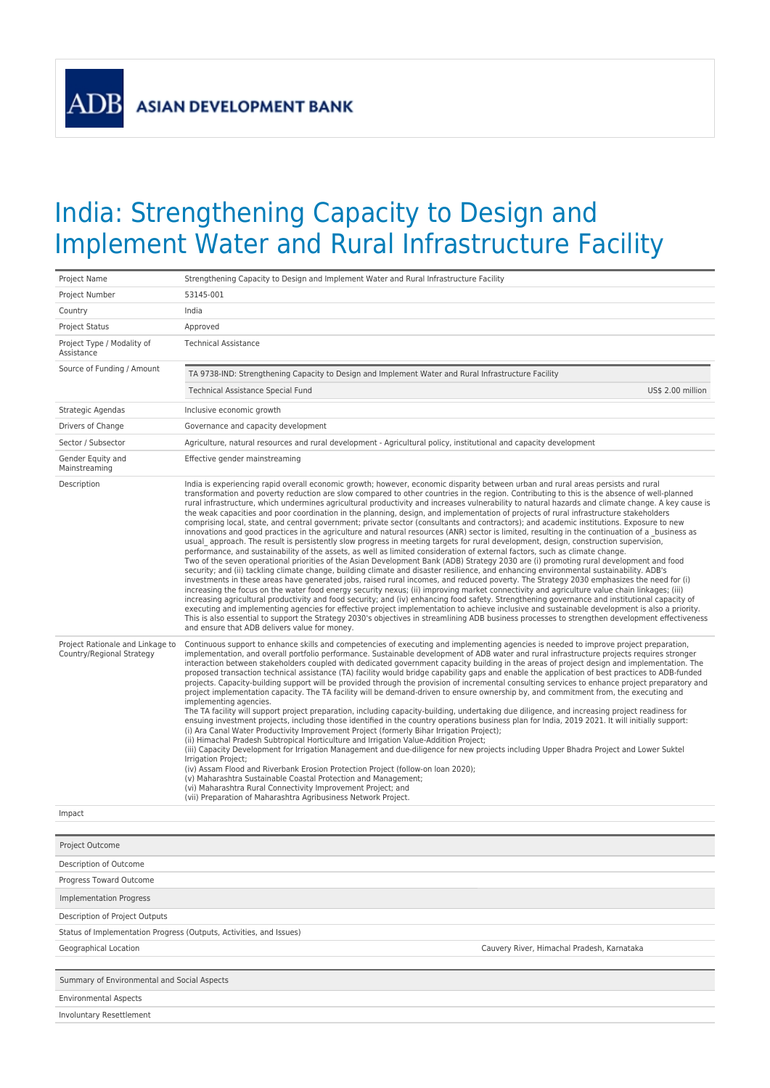**ADB** 

## India: Strengthening Capacity to Design and Implement Water and Rural Infrastructure Facility

| Project Name                                                  | Strengthening Capacity to Design and Implement Water and Rural Infrastructure Facility                                                                                                                                                                                                                                                                                                                                                                                                                                                                                                                                                                                                                                                                                                                                                                                                                                                                                                                                                                                                                                                                                                                                                                                                                                                                                                                                                                                                                                                                                                                                                                                                                                                                                                                                                                                                                                                                                                                                                                                                                                                                                                                                                            |
|---------------------------------------------------------------|---------------------------------------------------------------------------------------------------------------------------------------------------------------------------------------------------------------------------------------------------------------------------------------------------------------------------------------------------------------------------------------------------------------------------------------------------------------------------------------------------------------------------------------------------------------------------------------------------------------------------------------------------------------------------------------------------------------------------------------------------------------------------------------------------------------------------------------------------------------------------------------------------------------------------------------------------------------------------------------------------------------------------------------------------------------------------------------------------------------------------------------------------------------------------------------------------------------------------------------------------------------------------------------------------------------------------------------------------------------------------------------------------------------------------------------------------------------------------------------------------------------------------------------------------------------------------------------------------------------------------------------------------------------------------------------------------------------------------------------------------------------------------------------------------------------------------------------------------------------------------------------------------------------------------------------------------------------------------------------------------------------------------------------------------------------------------------------------------------------------------------------------------------------------------------------------------------------------------------------------------|
| Project Number                                                | 53145-001                                                                                                                                                                                                                                                                                                                                                                                                                                                                                                                                                                                                                                                                                                                                                                                                                                                                                                                                                                                                                                                                                                                                                                                                                                                                                                                                                                                                                                                                                                                                                                                                                                                                                                                                                                                                                                                                                                                                                                                                                                                                                                                                                                                                                                         |
| Country                                                       | India                                                                                                                                                                                                                                                                                                                                                                                                                                                                                                                                                                                                                                                                                                                                                                                                                                                                                                                                                                                                                                                                                                                                                                                                                                                                                                                                                                                                                                                                                                                                                                                                                                                                                                                                                                                                                                                                                                                                                                                                                                                                                                                                                                                                                                             |
| <b>Project Status</b>                                         | Approved                                                                                                                                                                                                                                                                                                                                                                                                                                                                                                                                                                                                                                                                                                                                                                                                                                                                                                                                                                                                                                                                                                                                                                                                                                                                                                                                                                                                                                                                                                                                                                                                                                                                                                                                                                                                                                                                                                                                                                                                                                                                                                                                                                                                                                          |
| Project Type / Modality of<br>Assistance                      | <b>Technical Assistance</b>                                                                                                                                                                                                                                                                                                                                                                                                                                                                                                                                                                                                                                                                                                                                                                                                                                                                                                                                                                                                                                                                                                                                                                                                                                                                                                                                                                                                                                                                                                                                                                                                                                                                                                                                                                                                                                                                                                                                                                                                                                                                                                                                                                                                                       |
| Source of Funding / Amount                                    | TA 9738-IND: Strengthening Capacity to Design and Implement Water and Rural Infrastructure Facility                                                                                                                                                                                                                                                                                                                                                                                                                                                                                                                                                                                                                                                                                                                                                                                                                                                                                                                                                                                                                                                                                                                                                                                                                                                                                                                                                                                                                                                                                                                                                                                                                                                                                                                                                                                                                                                                                                                                                                                                                                                                                                                                               |
|                                                               | US\$ 2.00 million<br>Technical Assistance Special Fund                                                                                                                                                                                                                                                                                                                                                                                                                                                                                                                                                                                                                                                                                                                                                                                                                                                                                                                                                                                                                                                                                                                                                                                                                                                                                                                                                                                                                                                                                                                                                                                                                                                                                                                                                                                                                                                                                                                                                                                                                                                                                                                                                                                            |
| Strategic Agendas                                             | Inclusive economic growth                                                                                                                                                                                                                                                                                                                                                                                                                                                                                                                                                                                                                                                                                                                                                                                                                                                                                                                                                                                                                                                                                                                                                                                                                                                                                                                                                                                                                                                                                                                                                                                                                                                                                                                                                                                                                                                                                                                                                                                                                                                                                                                                                                                                                         |
| Drivers of Change                                             | Governance and capacity development                                                                                                                                                                                                                                                                                                                                                                                                                                                                                                                                                                                                                                                                                                                                                                                                                                                                                                                                                                                                                                                                                                                                                                                                                                                                                                                                                                                                                                                                                                                                                                                                                                                                                                                                                                                                                                                                                                                                                                                                                                                                                                                                                                                                               |
| Sector / Subsector                                            | Agriculture, natural resources and rural development - Agricultural policy, institutional and capacity development                                                                                                                                                                                                                                                                                                                                                                                                                                                                                                                                                                                                                                                                                                                                                                                                                                                                                                                                                                                                                                                                                                                                                                                                                                                                                                                                                                                                                                                                                                                                                                                                                                                                                                                                                                                                                                                                                                                                                                                                                                                                                                                                |
| Gender Equity and<br>Mainstreaming                            | Effective gender mainstreaming                                                                                                                                                                                                                                                                                                                                                                                                                                                                                                                                                                                                                                                                                                                                                                                                                                                                                                                                                                                                                                                                                                                                                                                                                                                                                                                                                                                                                                                                                                                                                                                                                                                                                                                                                                                                                                                                                                                                                                                                                                                                                                                                                                                                                    |
| Description                                                   | India is experiencing rapid overall economic growth; however, economic disparity between urban and rural areas persists and rural<br>transformation and poverty reduction are slow compared to other countries in the region. Contributing to this is the absence of well-planned<br>rural infrastructure, which undermines agricultural productivity and increases vulnerability to natural hazards and climate change. A key cause is<br>the weak capacities and poor coordination in the planning, design, and implementation of projects of rural infrastructure stakeholders<br>comprising local, state, and central government; private sector (consultants and contractors); and academic institutions. Exposure to new<br>innovations and good practices in the agriculture and natural resources (ANR) sector is limited, resulting in the continuation of a business as<br>usual approach. The result is persistently slow progress in meeting targets for rural development, design, construction supervision,<br>performance, and sustainability of the assets, as well as limited consideration of external factors, such as climate change.<br>Two of the seven operational priorities of the Asian Development Bank (ADB) Strategy 2030 are (i) promoting rural development and food<br>security; and (ii) tackling climate change, building climate and disaster resilience, and enhancing environmental sustainability. ADB's<br>investments in these areas have generated jobs, raised rural incomes, and reduced poverty. The Strategy 2030 emphasizes the need for (i)<br>increasing the focus on the water food energy security nexus; (ii) improving market connectivity and agriculture value chain linkages; (iii)<br>increasing agricultural productivity and food security; and (iv) enhancing food safety. Strengthening governance and institutional capacity of<br>executing and implementing agencies for effective project implementation to achieve inclusive and sustainable development is also a priority.<br>This is also essential to support the Strategy 2030's objectives in streamlining ADB business processes to strengthen development effectiveness<br>and ensure that ADB delivers value for money. |
| Project Rationale and Linkage to<br>Country/Regional Strategy | Continuous support to enhance skills and competencies of executing and implementing agencies is needed to improve project preparation,<br>implementation, and overall portfolio performance. Sustainable development of ADB water and rural infrastructure projects requires stronger<br>interaction between stakeholders coupled with dedicated government capacity building in the areas of project design and implementation. The<br>proposed transaction technical assistance (TA) facility would bridge capability gaps and enable the application of best practices to ADB-funded<br>projects. Capacity-building support will be provided through the provision of incremental consulting services to enhance project preparatory and<br>project implementation capacity. The TA facility will be demand-driven to ensure ownership by, and commitment from, the executing and<br>implementing agencies.<br>The TA facility will support project preparation, including capacity-building, undertaking due diligence, and increasing project readiness for<br>ensuing investment projects, including those identified in the country operations business plan for India, 2019 2021. It will initially support:<br>(i) Ara Canal Water Productivity Improvement Project (formerly Bihar Irrigation Project);<br>(ii) Himachal Pradesh Subtropical Horticulture and Irrigation Value-Addition Project;<br>(iii) Capacity Development for Irrigation Management and due-diligence for new projects including Upper Bhadra Project and Lower Suktel<br>Irrigation Project;<br>(iv) Assam Flood and Riverbank Erosion Protection Project (follow-on loan 2020);<br>(v) Maharashtra Sustainable Coastal Protection and Management;<br>(vi) Maharashtra Rural Connectivity Improvement Project; and<br>(vii) Preparation of Maharashtra Agribusiness Network Project.                                                                                                                                                                                                                                                                                                                                                                              |
| Impact                                                        |                                                                                                                                                                                                                                                                                                                                                                                                                                                                                                                                                                                                                                                                                                                                                                                                                                                                                                                                                                                                                                                                                                                                                                                                                                                                                                                                                                                                                                                                                                                                                                                                                                                                                                                                                                                                                                                                                                                                                                                                                                                                                                                                                                                                                                                   |
| Project Outcome                                               |                                                                                                                                                                                                                                                                                                                                                                                                                                                                                                                                                                                                                                                                                                                                                                                                                                                                                                                                                                                                                                                                                                                                                                                                                                                                                                                                                                                                                                                                                                                                                                                                                                                                                                                                                                                                                                                                                                                                                                                                                                                                                                                                                                                                                                                   |
| Description of Outcome                                        |                                                                                                                                                                                                                                                                                                                                                                                                                                                                                                                                                                                                                                                                                                                                                                                                                                                                                                                                                                                                                                                                                                                                                                                                                                                                                                                                                                                                                                                                                                                                                                                                                                                                                                                                                                                                                                                                                                                                                                                                                                                                                                                                                                                                                                                   |
| Progress Toward Outcome                                       |                                                                                                                                                                                                                                                                                                                                                                                                                                                                                                                                                                                                                                                                                                                                                                                                                                                                                                                                                                                                                                                                                                                                                                                                                                                                                                                                                                                                                                                                                                                                                                                                                                                                                                                                                                                                                                                                                                                                                                                                                                                                                                                                                                                                                                                   |
| <b>Implementation Progress</b>                                |                                                                                                                                                                                                                                                                                                                                                                                                                                                                                                                                                                                                                                                                                                                                                                                                                                                                                                                                                                                                                                                                                                                                                                                                                                                                                                                                                                                                                                                                                                                                                                                                                                                                                                                                                                                                                                                                                                                                                                                                                                                                                                                                                                                                                                                   |
| Description of Project Outputs                                |                                                                                                                                                                                                                                                                                                                                                                                                                                                                                                                                                                                                                                                                                                                                                                                                                                                                                                                                                                                                                                                                                                                                                                                                                                                                                                                                                                                                                                                                                                                                                                                                                                                                                                                                                                                                                                                                                                                                                                                                                                                                                                                                                                                                                                                   |
|                                                               | Status of Implementation Progress (Outputs, Activities, and Issues)                                                                                                                                                                                                                                                                                                                                                                                                                                                                                                                                                                                                                                                                                                                                                                                                                                                                                                                                                                                                                                                                                                                                                                                                                                                                                                                                                                                                                                                                                                                                                                                                                                                                                                                                                                                                                                                                                                                                                                                                                                                                                                                                                                               |
| Geographical Location                                         | Cauvery River, Himachal Pradesh, Karnataka                                                                                                                                                                                                                                                                                                                                                                                                                                                                                                                                                                                                                                                                                                                                                                                                                                                                                                                                                                                                                                                                                                                                                                                                                                                                                                                                                                                                                                                                                                                                                                                                                                                                                                                                                                                                                                                                                                                                                                                                                                                                                                                                                                                                        |
|                                                               |                                                                                                                                                                                                                                                                                                                                                                                                                                                                                                                                                                                                                                                                                                                                                                                                                                                                                                                                                                                                                                                                                                                                                                                                                                                                                                                                                                                                                                                                                                                                                                                                                                                                                                                                                                                                                                                                                                                                                                                                                                                                                                                                                                                                                                                   |
| Summary of Environmental and Social Aspects                   |                                                                                                                                                                                                                                                                                                                                                                                                                                                                                                                                                                                                                                                                                                                                                                                                                                                                                                                                                                                                                                                                                                                                                                                                                                                                                                                                                                                                                                                                                                                                                                                                                                                                                                                                                                                                                                                                                                                                                                                                                                                                                                                                                                                                                                                   |
| <b>Environmental Aspects</b>                                  |                                                                                                                                                                                                                                                                                                                                                                                                                                                                                                                                                                                                                                                                                                                                                                                                                                                                                                                                                                                                                                                                                                                                                                                                                                                                                                                                                                                                                                                                                                                                                                                                                                                                                                                                                                                                                                                                                                                                                                                                                                                                                                                                                                                                                                                   |
| <b>Involuntary Resettlement</b>                               |                                                                                                                                                                                                                                                                                                                                                                                                                                                                                                                                                                                                                                                                                                                                                                                                                                                                                                                                                                                                                                                                                                                                                                                                                                                                                                                                                                                                                                                                                                                                                                                                                                                                                                                                                                                                                                                                                                                                                                                                                                                                                                                                                                                                                                                   |